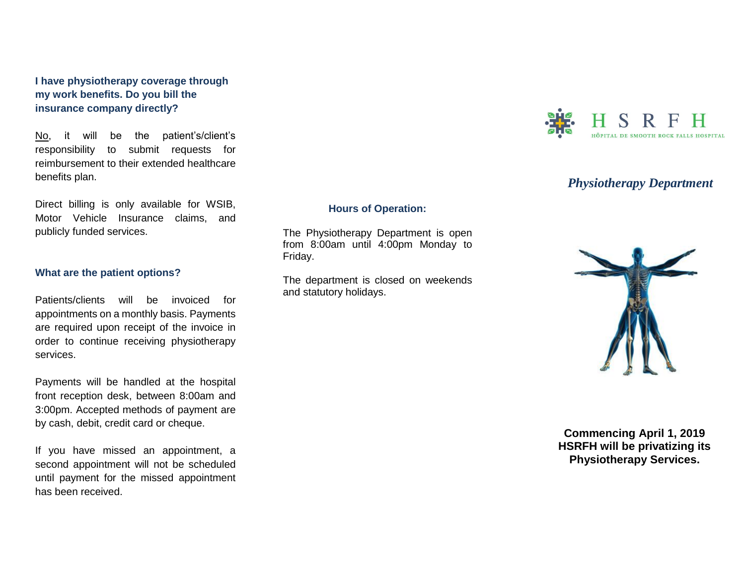**I have physiotherapy coverage through my work benefits. Do you bill the insurance company directly?**

No, it will be the patient's/client's responsibility to submit requests for reimbursement to their extended healthcare benefits plan.

Direct billing is only available for WSIB, Motor Vehicle Insurance claims, and publicly funded services.

#### **What are the patient options?**

Patients/clients will be invoiced for appointments on a monthly basis. Payments are required upon receipt of the invoice in order to continue receiving physiotherapy services.

Payments will be handled at the hospital front reception desk, between 8:00am and 3:00pm. Accepted methods of payment are by cash, debit, credit card or cheque.

If you have missed an appointment, a second appointment will not be scheduled until payment for the missed appointment has been received.

## **Hours of Operation:**

The Physiotherapy Department is open from 8:00am until 4:00pm Monday to Friday.

The department is closed on weekends and statutory holidays.



# *Physiotherapy Department*



**Commencing April 1, 2019 HSRFH will be privatizing its Physiotherapy Services.**